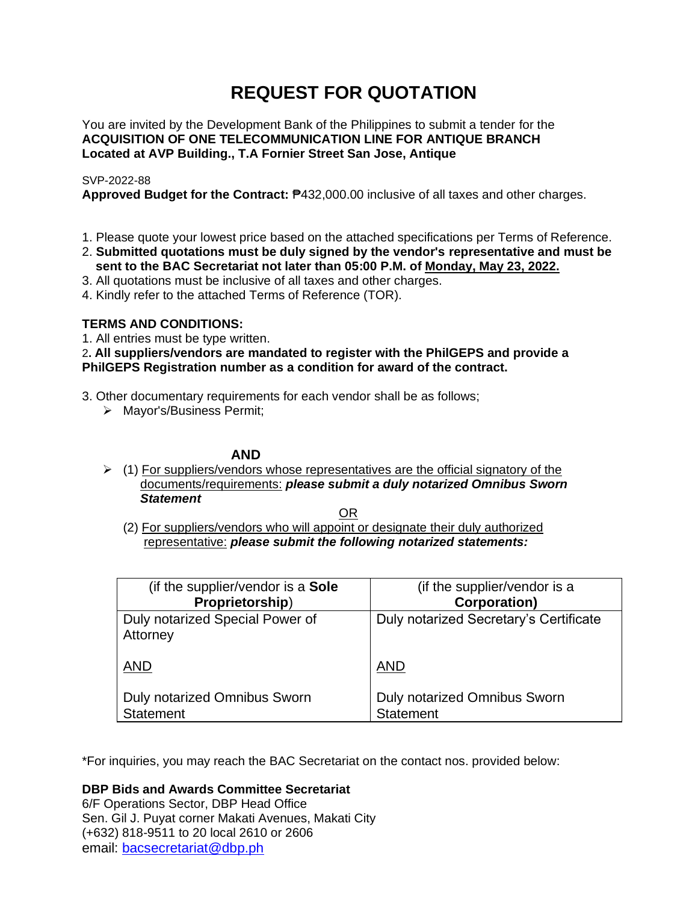# **REQUEST FOR QUOTATION**

You are invited by the Development Bank of the Philippines to submit a tender for the **ACQUISITION OF ONE TELECOMMUNICATION LINE FOR ANTIQUE BRANCH Located at AVP Building., T.A Fornier Street San Jose, Antique**

## SVP-2022-88

**Approved Budget for the Contract:** ₱432,000.00 inclusive of all taxes and other charges.

- 1. Please quote your lowest price based on the attached specifications per Terms of Reference.
- 2. **Submitted quotations must be duly signed by the vendor's representative and must be sent to the BAC Secretariat not later than 05:00 P.M. of Monday, May 23, 2022.**
- 3. All quotations must be inclusive of all taxes and other charges.
- 4. Kindly refer to the attached Terms of Reference (TOR).

## **TERMS AND CONDITIONS:**

1. All entries must be type written.

## 2**. All suppliers/vendors are mandated to register with the PhilGEPS and provide a PhilGEPS Registration number as a condition for award of the contract.**

- 3. Other documentary requirements for each vendor shall be as follows;
	- ➢ Mayor's/Business Permit;

## **AND**

 $\geq$  (1) For suppliers/vendors whose representatives are the official signatory of the documents/requirements: *please submit a duly notarized Omnibus Sworn Statement*

<u>OR Starting and the Starting OR Starting</u>

(2) For suppliers/vendors who will appoint or designate their duly authorized representative: *please submit the following notarized statements:*

| (if the supplier/vendor is a Sole                | (if the supplier/vendor is a                     |
|--------------------------------------------------|--------------------------------------------------|
| Proprietorship)                                  | <b>Corporation)</b>                              |
| Duly notarized Special Power of<br>Attorney      | Duly notarized Secretary's Certificate           |
| <b>AND</b>                                       | <b>AND</b>                                       |
| Duly notarized Omnibus Sworn<br><b>Statement</b> | Duly notarized Omnibus Sworn<br><b>Statement</b> |

\*For inquiries, you may reach the BAC Secretariat on the contact nos. provided below:

**DBP Bids and Awards Committee Secretariat**  6/F Operations Sector, DBP Head Office

Sen. Gil J. Puyat corner Makati Avenues, Makati City (+632) 818-9511 to 20 local 2610 or 2606 email: [bacsecretariat@dbp.ph](mailto:bacsecretariat@dbp.ph)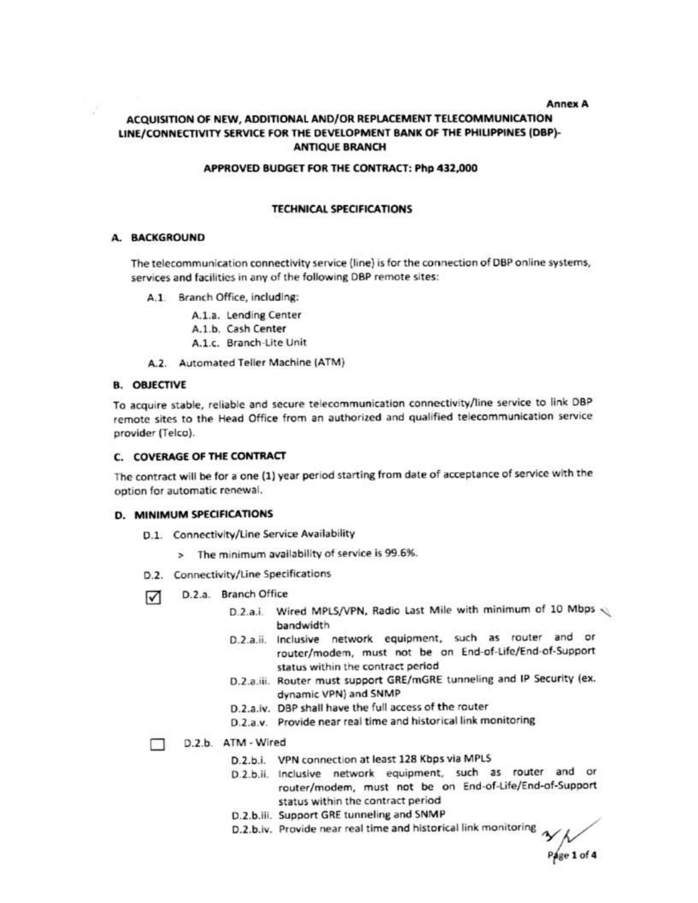#### **Annex A**

## ACQUISITION OF NEW, ADDITIONAL AND/OR REPLACEMENT TELECOMMUNICATION LINE/CONNECTIVITY SERVICE FOR THE DEVELOPMENT BANK OF THE PHILIPPINES (DBP)-**ANTIQUE BRANCH**

#### APPROVED BUDGET FOR THE CONTRACT: Php 432,000

## **TECHNICAL SPECIFICATIONS**

### A. BACKGROUND

The telecommunication connectivity service (line) is for the connection of DBP online systems, services and facilities in any of the following DBP remote sites:

- A.1. Branch Office, including:
	- A.1.a. Lending Center A.1.b. Cash Center A.1.c. Branch-Lite Unit
- A.2. Automated Teller Machine (ATM)

## **B. OBJECTIVE**

To acquire stable, reliable and secure telecommunication connectivity/line service to link DBP remote sites to the Head Office from an authorized and qualified telecommunication service provider (Telco).

## C. COVERAGE OF THE CONTRACT

The contract will be for a one (1) year period starting from date of acceptance of service with the option for automatic renewal.

### D. MINIMUM SPECIFICATIONS

- D.1. Connectivity/Line Service Availability
	- > The minimum availability of service is 99.6%.
- D.2. Connectivity/Line Specifications
- D.2.a. Branch Office ⊓
	- D.2.a.i. Wired MPLS/VPN, Radio Last Mile with minimum of 10 Mbps bandwidth
	- D.2.a.ii. Inclusive network equipment, such as router and or router/modem, must not be on End-of-Life/End-of-Support status within the contract period
	- D.2.a.iii. Router must support GRE/mGRE tunneling and IP Security (ex. dynamic VPN) and SNMP
	- D.2.a.iv. DBP shall have the full access of the router
	- D.2.a.v. Provide near real time and historical link monitoring

#### D.2.b. ATM - Wired п

- D.2.b.i. VPN connection at least 128 Kbps via MPLS
- D.2.b.ii. Inclusive network equipment, such as router and or router/modem, must not be on End-of-Life/End-of-Support status within the contract period
- D.2.b.iii. Support GRE tunneling and SNMP
- D.2.b.iv. Provide near real time and historical link monitoring

 $P$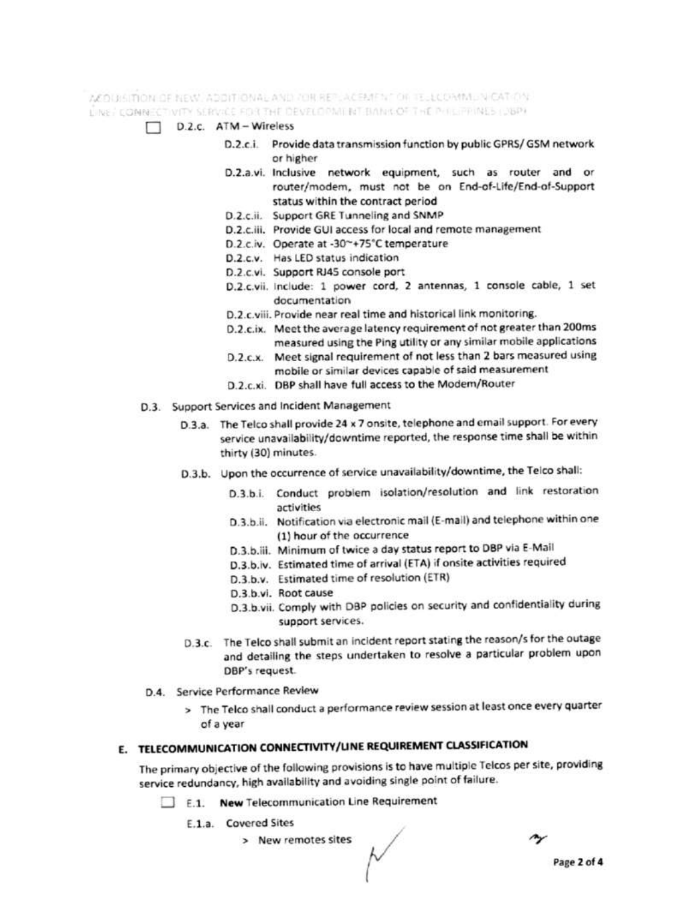ACOUSTION OF NEW ADDITIONAL AND JOR REPLACEMENT OF TELLCOMMUNICATION.

UINE CONNECTIVITY SERVICE FOR THE DEVELOPMENT BANK OF THE PHILIPPINES LOBPE

- D.2.c. ATM Wireless
	- D.2.c.i. Provide data transmission function by public GPRS/GSM network or higher
	- D.2.a.vi. Inclusive network equipment, such as router and or router/modem, must not be on End-of-Life/End-of-Support status within the contract period
	- D.2.c.ii. Support GRE Tunneling and SNMP
	- D.2.c.iii. Provide GUI access for local and remote management
	- D.2.c.iv. Operate at -30~+75°C temperature
	- D.2.c.v. Has LED status indication
	- D.2.c.vi. Support RJ45 console port
	- D.2.c.vii. include: 1 power cord, 2 antennas, 1 console cable, 1 set documentation
	- D.2.c.viii. Provide near real time and historical link monitoring.
	- D.2.c.ix. Meet the average latency requirement of not greater than 200ms measured using the Ping utility or any similar mobile applications
	- D.2.c.x. Meet signal requirement of not less than 2 bars measured using mobile or similar devices capable of said measurement
	- D.2.c.xi. DBP shall have full access to the Modem/Router
- D.3. Support Services and Incident Management
	- D.3.a. The Telco shall provide 24 x 7 onsite, telephone and email support. For every service unavailability/downtime reported, the response time shall be within thirty (30) minutes.
	- D.3.b. Upon the occurrence of service unavailability/downtime, the Teico shall:
		- D.3.b.i. Conduct problem isolation/resolution and link restoration activities
		- D.3.b.ii. Notification via electronic mail (E-mail) and telephone within one (1) hour of the occurrence
		- D.3.b.iii. Minimum of twice a day status report to DBP via E-Mail
		- D.3.b.iv. Estimated time of arrival (ETA) if onsite activities required
		- D.3.b.v. Estimated time of resolution (ETR)
		- D.3.b.vi. Root cause
		- D.3.b.vii. Comply with DBP policies on security and confidentiality during support services.
	- D.3.c. The Telco shall submit an incident report stating the reason/s for the outage and detailing the steps undertaken to resolve a particular problem upon DBP's request.
- D.4. Service Performance Review
	- > The Telco shall conduct a performance review session at least once every quarter of a year

## E. TELECOMMUNICATION CONNECTIVITY/LINE REQUIREMENT CLASSIFICATION

The primary objective of the following provisions is to have multiple Telcos per site, providing service redundancy, high availability and avoiding single point of failure.

- E.1. New Telecommunication Line Requirement
	- E.1.a. Covered Sites
		- > New remotes sites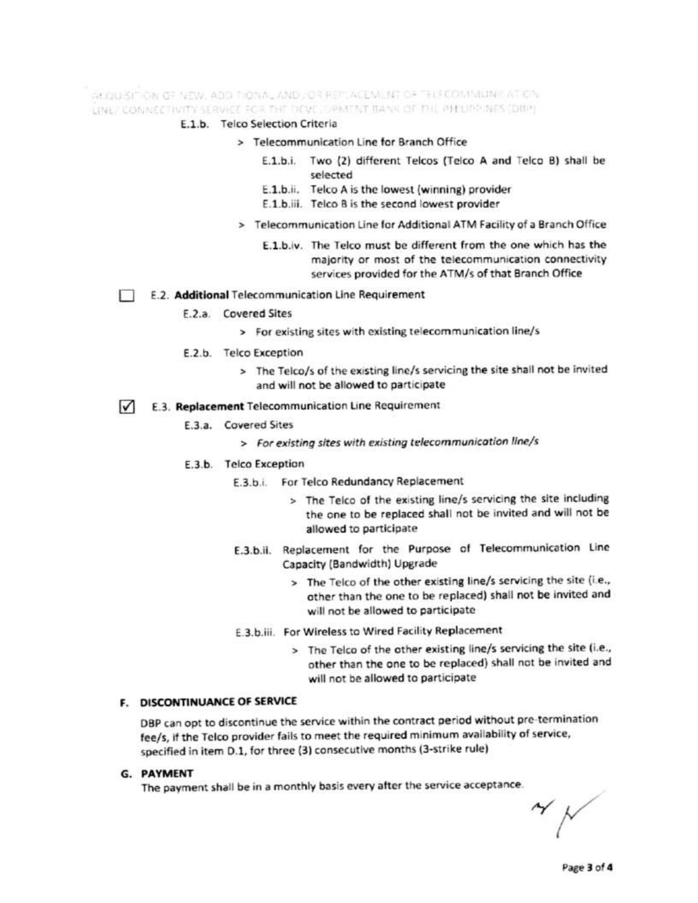ALQUISITION OF NEW, ADD TIONAL AND JOR REPLACEMENT OF TELECOMMUNICATION. LINE/ CONNECTIVITY SERVICE FOR THE DEVELOPMENT BANK OF THE PHEIPPINES (DIRP)

## E.1.b. Telco Selection Criteria

### > Telecommunication Line for Branch Office

- E.1.b.i. Two (2) different Telcos (Telco A and Telco B) shall be selected
- E.1.b.ii. Telco A is the lowest (winning) provider
- E.1.b.iii. Telco B is the second lowest provider
- > Telecommunication Line for Additional ATM Facility of a Branch Office
	- E.1.b.iv. The Telco must be different from the one which has the majority or most of the telecommunication connectivity services provided for the ATM/s of that Branch Office

#### E.2. Additional Telecommunication Line Requirement П

- F.2.a. Covered Sites
	- > For existing sites with existing telecommunication line/s
- E.2.b. Telco Exception
	- > The Telco/s of the existing line/s servicing the site shall not be invited and will not be allowed to participate

#### $\sqrt{ }$ E.3. Replacement Telecommunication Line Requirement

### E.3.a. Covered Sites

> For existing sites with existing telecommunication line/s

### E.3.b. Telco Exception

- E.3.b.i. For Telco Redundancy Replacement
	- > The Telco of the existing line/s servicing the site including the one to be replaced shall not be invited and will not be allowed to participate
- E.3.b.ii. Replacement for the Purpose of Telecommunication Line Capacity (Bandwidth) Upgrade
	- > The Telco of the other existing line/s servicing the site (i.e., other than the one to be replaced) shall not be invited and will not be allowed to participate
- E.3.b.iii. For Wireless to Wired Facility Replacement
	- > The Telco of the other existing line/s servicing the site (i.e., other than the one to be replaced) shall not be invited and will not be allowed to participate

## F. DISCONTINUANCE OF SERVICE

DBP can opt to discontinue the service within the contract period without pre-termination fee/s, if the Telco provider fails to meet the required minimum availability of service, specified in item D.1, for three (3) consecutive months (3-strike rule)

## **G. PAYMENT**

The payment shall be in a monthly basis every after the service acceptance.